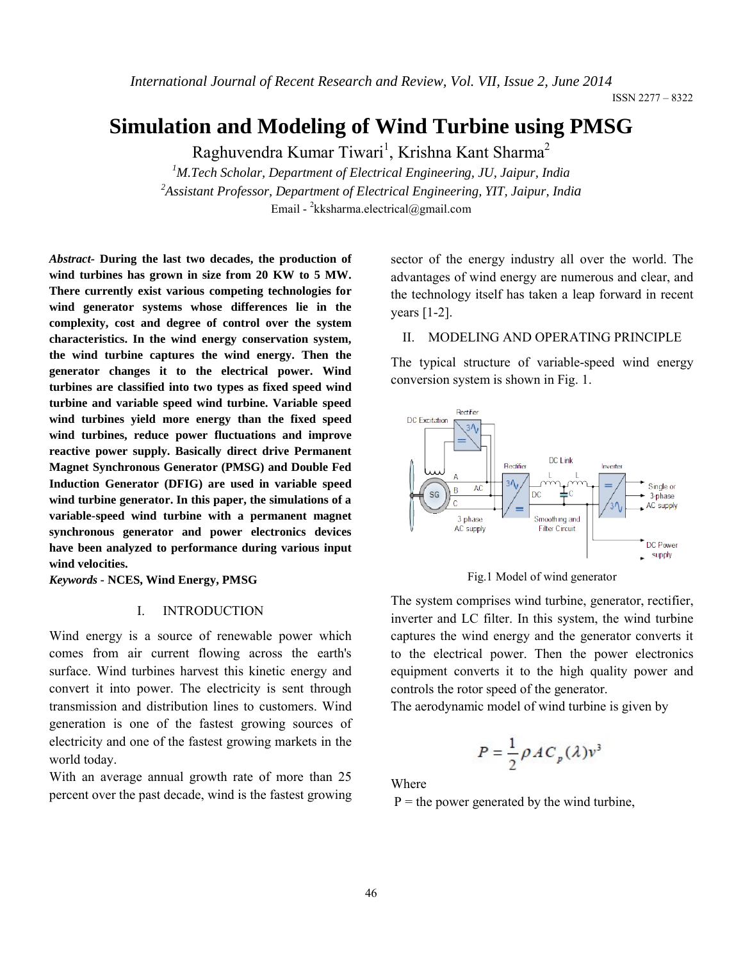# **Simulation and Modeling of Wind Turbine using PMSG**

Raghuvendra Kumar Tiwari<sup>1</sup>, Krishna Kant Sharma<sup>2</sup>

*1 M.Tech Scholar, Department of Electrical Engineering, JU, Jaipur, India 2 Assistant Professor, Department of Electrical Engineering, YIT, Jaipur, India* Email - <sup>2</sup>kksharma.electrical@gmail.com

*Abstract-* **During the last two decades, the production of wind turbines has grown in size from 20 KW to 5 MW. There currently exist various competing technologies for wind generator systems whose differences lie in the complexity, cost and degree of control over the system characteristics. In the wind energy conservation system, the wind turbine captures the wind energy. Then the generator changes it to the electrical power. Wind turbines are classified into two types as fixed speed wind turbine and variable speed wind turbine. Variable speed wind turbines yield more energy than the fixed speed wind turbines, reduce power fluctuations and improve reactive power supply. Basically direct drive Permanent Magnet Synchronous Generator (PMSG) and Double Fed Induction Generator (DFIG) are used in variable speed wind turbine generator. In this paper, the simulations of a variable-speed wind turbine with a permanent magnet synchronous generator and power electronics devices have been analyzed to performance during various input wind velocities.**

*Keywords -* **NCES, Wind Energy, PMSG** 

### I. INTRODUCTION

Wind energy is a source of renewable power which comes from air current flowing across the earth's surface. Wind turbines harvest this kinetic energy and convert it into power. The electricity is sent through transmission and distribution lines to customers. Wind generation is one of the fastest growing sources of electricity and one of the fastest growing markets in the world today.

With an average annual growth rate of more than 25 percent over the past decade, wind is the fastest growing

sector of the energy industry all over the world. The advantages of wind energy are numerous and clear, and the technology itself has taken a leap forward in recent years [1-2].

### II. MODELING AND OPERATING PRINCIPLE

The typical structure of variable-speed wind energy conversion system is shown in Fig. 1.



Fig.1 Model of wind generator

The system comprises wind turbine, generator, rectifier, inverter and LC filter. In this system, the wind turbine captures the wind energy and the generator converts it to the electrical power. Then the power electronics equipment converts it to the high quality power and controls the rotor speed of the generator.

The aerodynamic model of wind turbine is given by

$$
P = \frac{1}{2} \rho A C_p(\lambda) v^3
$$

Where

 $P =$  the power generated by the wind turbine,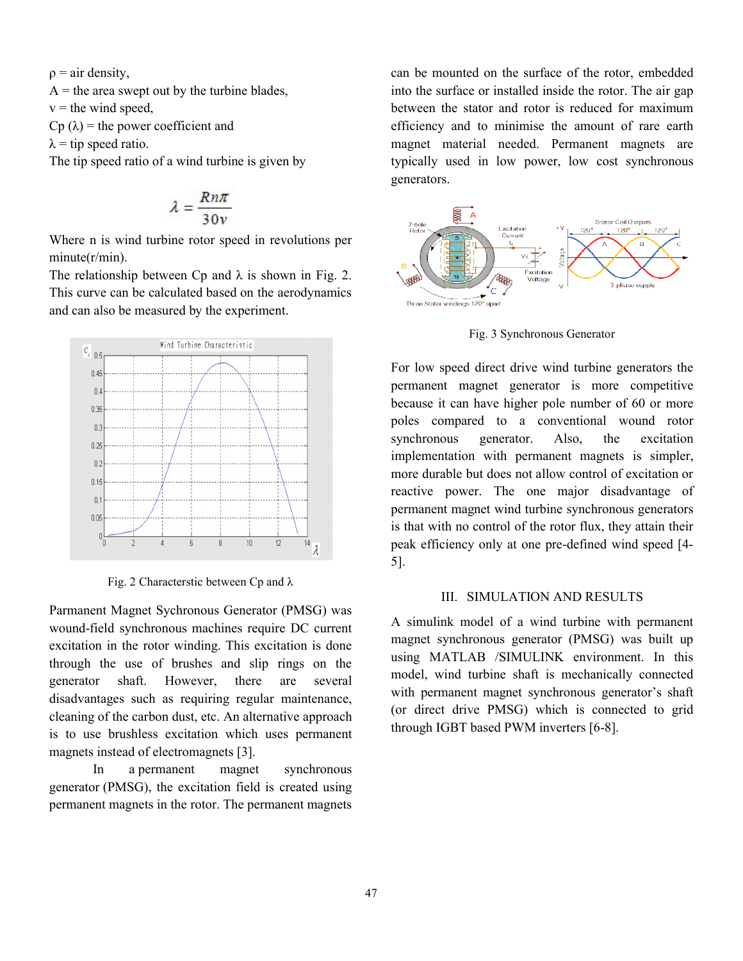$\rho = \text{air density},$ 

 $A =$  the area swept out by the turbine blades,  $v =$  the wind speed.  $Cp(\lambda)$  = the power coefficient and

 $\lambda$  = tip speed ratio.

The tip speed ratio of a wind turbine is given by

$$
\lambda = \frac{Rn\pi}{30\nu}
$$

Where n is wind turbine rotor speed in revolutions per minute(r/min).

The relationship between Cp and  $\lambda$  is shown in Fig. 2. This curve can be calculated based on the aerodynamics and can also be measured by the experiment. A = the area swept out by the turbine blades,<br>  $v =$  the wind speed,<br>  $Cp(\lambda) =$  the power coefficient and<br>  $\lambda =$  tip speed ratio.<br>
The tip speed ratio of a wind turbine is given by<br>  $\lambda = \frac{Rn\pi}{30\nu}$ <br>
Where n is wind turbi



Fig. 2 Characterstic between Cp and  $\lambda$ 

Parmanent Magnet Sychronous Generator (PMSG) was wound-field synchronous machines require DC current excitation in the rotor winding. This excitation is done through the use of brushes and slip rings on the generator shaft. However, there are several disadvantages such as requiring regular maintenance, cleaning of the carbon dust, etc. An alternative approach is to use brushless excitation which uses permanent magnets instead of electromagnets [3].

In a permanent magnet synchronous generator (PMSG), the excitation field is created using permanent magnets in the rotor. The permanent magnets

into the surface or installed inside the rotor. The air gap between the stator and rotor is reduced for efficiency and to minimise the amount of rare earth magnet material needed. Permanent magnets are typically used in low power, low cost synchronous generators. mounted on the surface of the rotor, embedded<br>surface or installed inside the rotor. The air gap<br>1 the stator and rotor is reduced for maximum



Fig. 3 Synchronous Generator

For low speed direct drive wind turbine generators the permanent magnet generator is more competitive because it can have higher pole number of 60 or more poles compared to a conventional wound rotor synchronous generator. Also, the excitation implementation with permanent magnets is simpler, more durable but does not allow control of excitation or reactive power. The one major disadvantage of permanent magnet wind turbine synchronous generators is that with no control of the rotor flux, they attain their peak efficiency only at one pre-defined wind speed [4-5]. to minimise the magnet material Permanent synchronous permanent have the excitation simpler, permanent wind synchronous generators no the they one pre-defined wind speed [4-

## III. SIMULATION AND RESULTS

A simulink model of a wind turbine with permanent magnet synchronous generator (PMSG) was built up using MATLAB /SIMULINK environment. In this model, wind turbine shaft is mechanically connected with permanent magnet synchronous generator's shaft (or direct drive PMSG) which is connected to grid through IGBT based PWM inverters [6-8].III. SIMULATION AND RESULTS<br>A simulink model of a wind turbine with permanent<br>magnet synchronous generator (PMSG) was built up<br>using MATLAB /SIMULINK environment. In this<br>model, wind turbine shaft is mechanically connected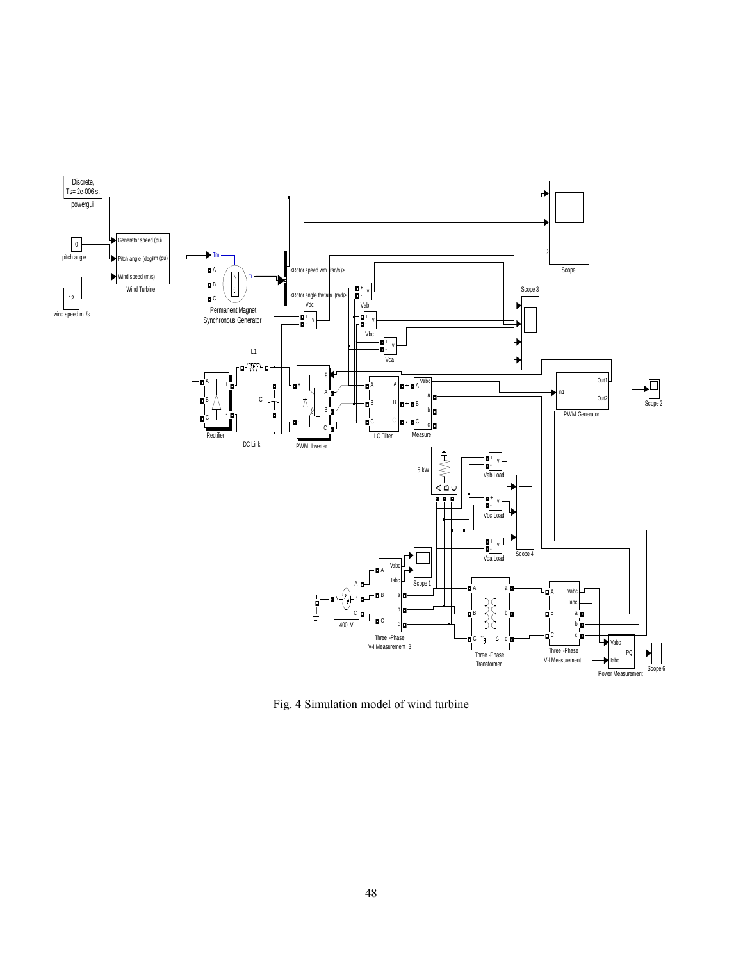

Fig. 4 Simulation model of wind turbine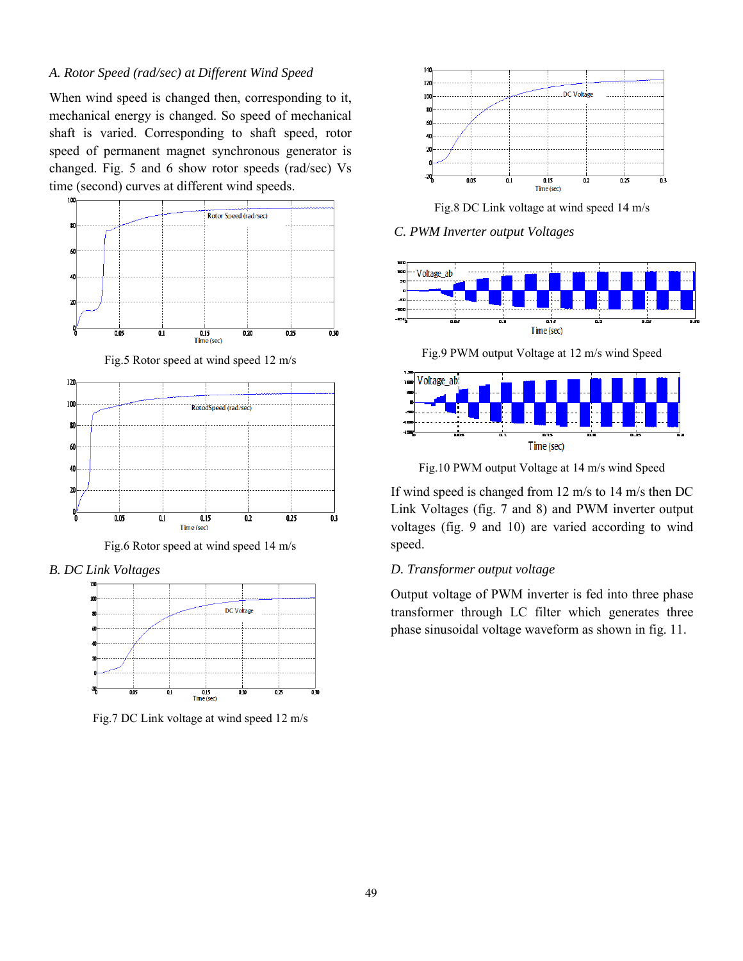# *A. Rotor Speed (rad/sec) at Different Wind Speed*

When wind speed is changed then, corresponding to it, mechanical energy is changed. So speed of mechanical shaft is varied. Corresponding to shaft speed, rotor speed of permanent magnet synchronous generator is changed. Fig. 5 and 6 show rotor speeds (rad/sec) Vs time (second) curves at different wind speeds.







*B. DC Link Voltages*



Fig.7 DC Link voltage at wind speed 12 m/s



Fig.8 DC Link voltage at wind speed 14 m/s

*C. PWM Inverter output Voltages*



Fig.9 PWM output Voltage at 12 m/s wind Speed



Fig.10 PWM output Voltage at 14 m/s wind Speed

If wind speed is changed from 12 m/s to 14 m/s then DC Link Voltages (fig. 7 and 8) and PWM inverter output voltages (fig. 9 and 10) are varied according to wind speed.

## *D. Transformer output voltage*

Output voltage of PWM inverter is fed into three phase transformer through LC filter which generates three phase sinusoidal voltage waveform as shown in fig. 11.